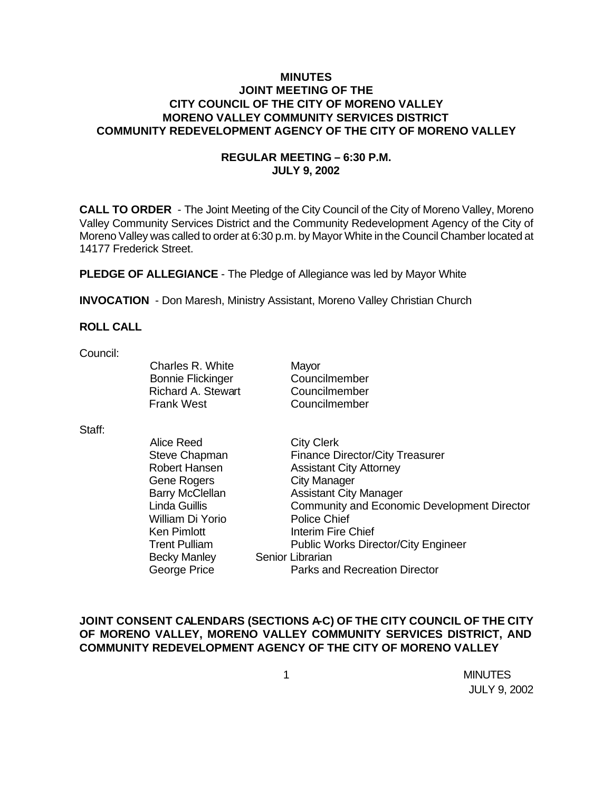## **MINUTES JOINT MEETING OF THE CITY COUNCIL OF THE CITY OF MORENO VALLEY MORENO VALLEY COMMUNITY SERVICES DISTRICT COMMUNITY REDEVELOPMENT AGENCY OF THE CITY OF MORENO VALLEY**

## **REGULAR MEETING – 6:30 P.M. JULY 9, 2002**

**CALL TO ORDER** - The Joint Meeting of the City Council of the City of Moreno Valley, Moreno Valley Community Services District and the Community Redevelopment Agency of the City of Moreno Valley was called to order at 6:30 p.m. by Mayor White in the Council Chamber located at 14177 Frederick Street.

**PLEDGE OF ALLEGIANCE** - The Pledge of Allegiance was led by Mayor White

**INVOCATION** - Don Maresh, Ministry Assistant, Moreno Valley Christian Church

#### **ROLL CALL**

Council:

Charles R. White Mayor Bonnie Flickinger Councilmember Richard A. Stewart Councilmember Frank West Councilmember

Staff:

| <b>City Clerk</b>                           |
|---------------------------------------------|
| <b>Finance Director/City Treasurer</b>      |
| <b>Assistant City Attorney</b>              |
| <b>City Manager</b>                         |
| <b>Assistant City Manager</b>               |
| Community and Economic Development Director |
| <b>Police Chief</b>                         |
| Interim Fire Chief                          |
| <b>Public Works Director/City Engineer</b>  |
| Senior Librarian                            |
| Parks and Recreation Director               |
|                                             |

## **JOINT CONSENT CALENDARS (SECTIONS A-C) OF THE CITY COUNCIL OF THE CITY OF MORENO VALLEY, MORENO VALLEY COMMUNITY SERVICES DISTRICT, AND COMMUNITY REDEVELOPMENT AGENCY OF THE CITY OF MORENO VALLEY**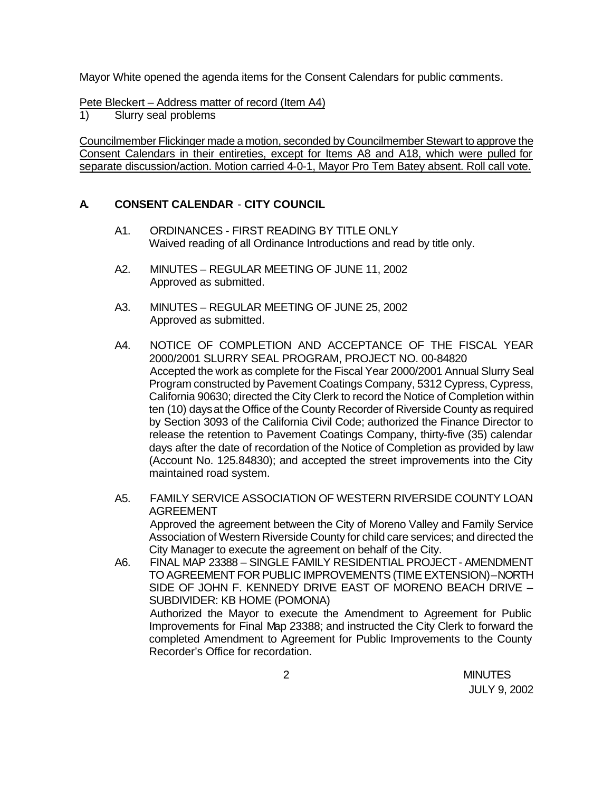Mayor White opened the agenda items for the Consent Calendars for public comments.

Pete Bleckert – Address matter of record (Item A4)

1) Slurry seal problems

Councilmember Flickinger made a motion, seconded by Councilmember Stewart to approve the Consent Calendars in their entireties, except for Items A8 and A18, which were pulled for separate discussion/action. Motion carried 4-0-1, Mayor Pro Tem Batey absent. Roll call vote.

## **A. CONSENT CALENDAR** - **CITY COUNCIL**

- A1. ORDINANCES FIRST READING BY TITLE ONLY Waived reading of all Ordinance Introductions and read by title only.
- A2. MINUTES REGULAR MEETING OF JUNE 11, 2002 Approved as submitted.
- A3. MINUTES REGULAR MEETING OF JUNE 25, 2002 Approved as submitted.
- A4. NOTICE OF COMPLETION AND ACCEPTANCE OF THE FISCAL YEAR 2000/2001 SLURRY SEAL PROGRAM, PROJECT NO. 00-84820 Accepted the work as complete for the Fiscal Year 2000/2001 Annual Slurry Seal Program constructed by Pavement Coatings Company, 5312 Cypress, Cypress, California 90630; directed the City Clerk to record the Notice of Completion within ten (10) days at the Office of the County Recorder of Riverside County as required by Section 3093 of the California Civil Code; authorized the Finance Director to release the retention to Pavement Coatings Company, thirty-five (35) calendar days after the date of recordation of the Notice of Completion as provided by law (Account No. 125.84830); and accepted the street improvements into the City maintained road system.
- A5. FAMILY SERVICE ASSOCIATION OF WESTERN RIVERSIDE COUNTY LOAN AGREEMENT Approved the agreement between the City of Moreno Valley and Family Service Association of Western Riverside County for child care services; and directed the City Manager to execute the agreement on behalf of the City.
- A6. FINAL MAP 23388 SINGLE FAMILY RESIDENTIAL PROJECT AMENDMENT TO AGREEMENT FOR PUBLIC IMPROVEMENTS (TIME EXTENSION) – NORTH SIDE OF JOHN F. KENNEDY DRIVE EAST OF MORENO BEACH DRIVE – SUBDIVIDER: KB HOME (POMONA) Authorized the Mayor to execute the Amendment to Agreement for Public Improvements for Final Map 23388; and instructed the City Clerk to forward the completed Amendment to Agreement for Public Improvements to the County Recorder's Office for recordation.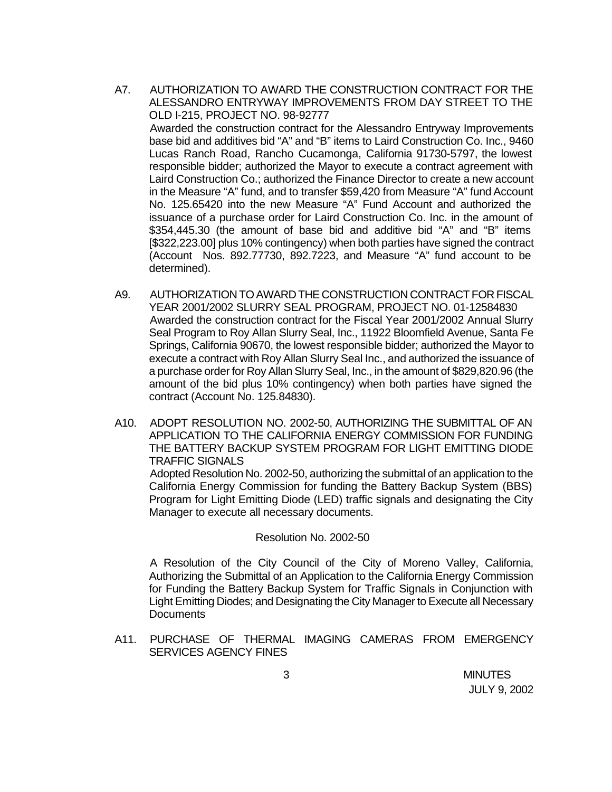- A7. AUTHORIZATION TO AWARD THE CONSTRUCTION CONTRACT FOR THE ALESSANDRO ENTRYWAY IMPROVEMENTS FROM DAY STREET TO THE OLD I-215, PROJECT NO. 98-92777 Awarded the construction contract for the Alessandro Entryway Improvements base bid and additives bid "A" and "B" items to Laird Construction Co. Inc., 9460 Lucas Ranch Road, Rancho Cucamonga, California 91730-5797, the lowest responsible bidder; authorized the Mayor to execute a contract agreement with Laird Construction Co.; authorized the Finance Director to create a new account in the Measure "A" fund, and to transfer \$59,420 from Measure "A" fund Account No. 125.65420 into the new Measure "A" Fund Account and authorized the issuance of a purchase order for Laird Construction Co. Inc. in the amount of \$354,445.30 (the amount of base bid and additive bid "A" and "B" items [\$322,223.00] plus 10% contingency) when both parties have signed the contract (Account Nos. 892.77730, 892.7223, and Measure "A" fund account to be determined).
- A9. AUTHORIZATION TO AWARD THE CONSTRUCTION CONTRACT FOR FISCAL YEAR 2001/2002 SLURRY SEAL PROGRAM, PROJECT NO. 01-12584830 Awarded the construction contract for the Fiscal Year 2001/2002 Annual Slurry Seal Program to Roy Allan Slurry Seal, Inc., 11922 Bloomfield Avenue, Santa Fe Springs, California 90670, the lowest responsible bidder; authorized the Mayor to execute a contract with Roy Allan Slurry Seal Inc., and authorized the issuance of a purchase order for Roy Allan Slurry Seal, Inc., in the amount of \$829,820.96 (the amount of the bid plus 10% contingency) when both parties have signed the contract (Account No. 125.84830).
- A10. ADOPT RESOLUTION NO. 2002-50, AUTHORIZING THE SUBMITTAL OF AN APPLICATION TO THE CALIFORNIA ENERGY COMMISSION FOR FUNDING THE BATTERY BACKUP SYSTEM PROGRAM FOR LIGHT EMITTING DIODE TRAFFIC SIGNALS Adopted Resolution No. 2002-50, authorizing the submittal of an application to the California Energy Commission for funding the Battery Backup System (BBS)

Program for Light Emitting Diode (LED) traffic signals and designating the City Manager to execute all necessary documents.

#### Resolution No. 2002-50

A Resolution of the City Council of the City of Moreno Valley, California, Authorizing the Submittal of an Application to the California Energy Commission for Funding the Battery Backup System for Traffic Signals in Conjunction with Light Emitting Diodes; and Designating the City Manager to Execute all Necessary **Documents** 

A11. PURCHASE OF THERMAL IMAGING CAMERAS FROM EMERGENCY SERVICES AGENCY FINES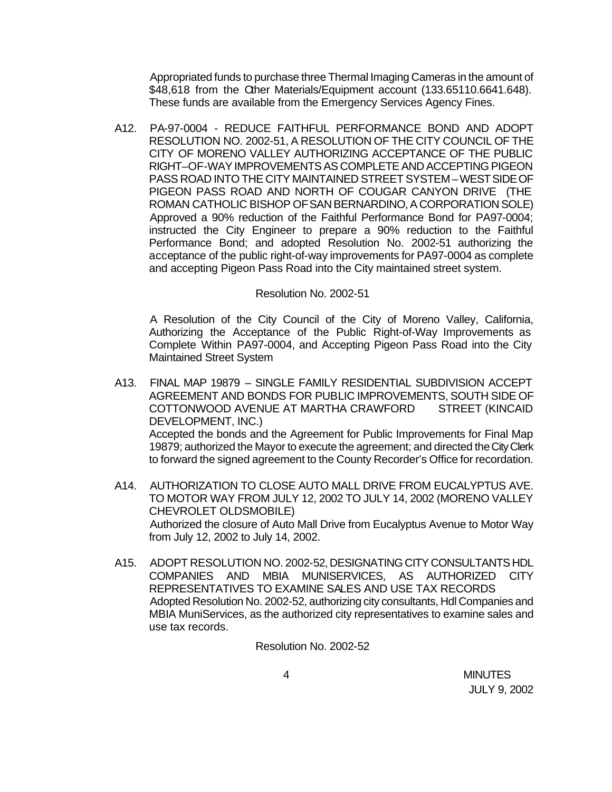Appropriated funds to purchase three Thermal Imaging Cameras in the amount of \$48,618 from the Cher Materials/Equipment account (133.65110.6641.648). These funds are available from the Emergency Services Agency Fines.

A12. PA-97-0004 - REDUCE FAITHFUL PERFORMANCE BOND AND ADOPT RESOLUTION NO. 2002-51, A RESOLUTION OF THE CITY COUNCIL OF THE CITY OF MORENO VALLEY AUTHORIZING ACCEPTANCE OF THE PUBLIC RIGHT–OF-WAY IMPROVEMENTS AS COMPLETE AND ACCEPTING PIGEON PASS ROAD INTO THE CITY MAINTAINED STREET SYSTEM – WEST SIDE OF PIGEON PASS ROAD AND NORTH OF COUGAR CANYON DRIVE (THE ROMAN CATHOLIC BISHOP OF SAN BERNARDINO, A CORPORATION SOLE) Approved a 90% reduction of the Faithful Performance Bond for PA97-0004; instructed the City Engineer to prepare a 90% reduction to the Faithful Performance Bond; and adopted Resolution No. 2002-51 authorizing the acceptance of the public right-of-way improvements for PA97-0004 as complete and accepting Pigeon Pass Road into the City maintained street system.

#### Resolution No. 2002-51

A Resolution of the City Council of the City of Moreno Valley, California, Authorizing the Acceptance of the Public Right-of-Way Improvements as Complete Within PA97-0004, and Accepting Pigeon Pass Road into the City Maintained Street System

- A13. FINAL MAP 19879 SINGLE FAMILY RESIDENTIAL SUBDIVISION ACCEPT AGREEMENT AND BONDS FOR PUBLIC IMPROVEMENTS, SOUTH SIDE OF COTTONWOOD AVENUE AT MARTHA CRAWFORD STREET (KINCAID DEVELOPMENT, INC.) Accepted the bonds and the Agreement for Public Improvements for Final Map 19879; authorized the Mayor to execute the agreement; and directed the City Clerk to forward the signed agreement to the County Recorder's Office for recordation.
- A14. AUTHORIZATION TO CLOSE AUTO MALL DRIVE FROM EUCALYPTUS AVE. TO MOTOR WAY FROM JULY 12, 2002 TO JULY 14, 2002 (MORENO VALLEY CHEVROLET OLDSMOBILE) Authorized the closure of Auto Mall Drive from Eucalyptus Avenue to Motor Way from July 12, 2002 to July 14, 2002.
- A15. ADOPT RESOLUTION NO. 2002-52, DESIGNATING CITY CONSULTANTS HDL COMPANIES AND MBIA MUNISERVICES, AS AUTHORIZED CITY REPRESENTATIVES TO EXAMINE SALES AND USE TAX RECORDS Adopted Resolution No. 2002-52, authorizing city consultants, Hdl Companies and MBIA MuniServices, as the authorized city representatives to examine sales and use tax records.

Resolution No. 2002-52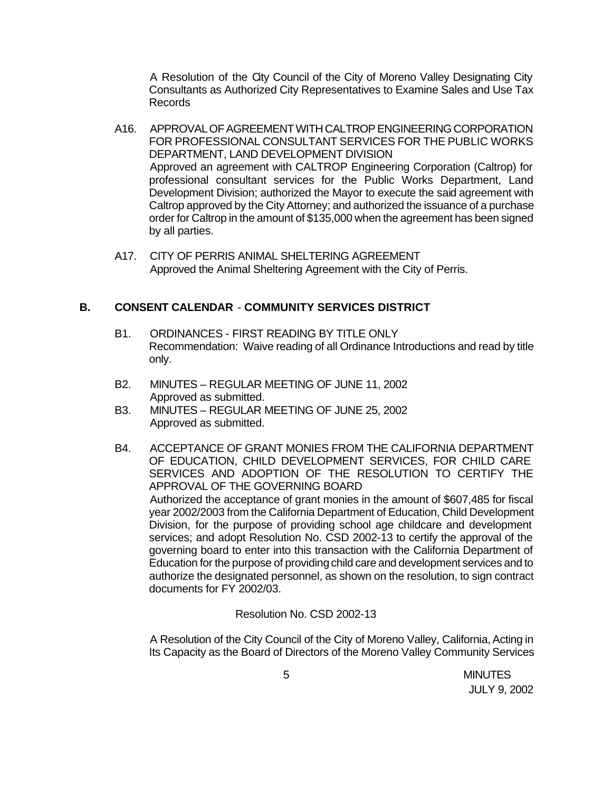A Resolution of the City Council of the City of Moreno Valley Designating City Consultants as Authorized City Representatives to Examine Sales and Use Tax Records

- A16. APPROVAL OF AGREEMENT WITH CALTROP ENGINEERING CORPORATION FOR PROFESSIONAL CONSULTANT SERVICES FOR THE PUBLIC WORKS DEPARTMENT, LAND DEVELOPMENT DIVISION Approved an agreement with CALTROP Engineering Corporation (Caltrop) for professional consultant services for the Public Works Department, Land Development Division; authorized the Mayor to execute the said agreement with Caltrop approved by the City Attorney; and authorized the issuance of a purchase order for Caltrop in the amount of \$135,000 when the agreement has been signed by all parties.
- A17. CITY OF PERRIS ANIMAL SHELTERING AGREEMENT Approved the Animal Sheltering Agreement with the City of Perris.

## **B. CONSENT CALENDAR** - **COMMUNITY SERVICES DISTRICT**

- B1. ORDINANCES FIRST READING BY TITLE ONLY Recommendation: Waive reading of all Ordinance Introductions and read by title only.
- B2. MINUTES REGULAR MEETING OF JUNE 11, 2002 Approved as submitted.
- B3. MINUTES REGULAR MEETING OF JUNE 25, 2002 Approved as submitted.
- B4. ACCEPTANCE OF GRANT MONIES FROM THE CALIFORNIA DEPARTMENT OF EDUCATION, CHILD DEVELOPMENT SERVICES, FOR CHILD CARE SERVICES AND ADOPTION OF THE RESOLUTION TO CERTIFY THE APPROVAL OF THE GOVERNING BOARD Authorized the acceptance of grant monies in the amount of \$607,485 for fiscal year 2002/2003 from the California Department of Education, Child Development Division, for the purpose of providing school age childcare and development services; and adopt Resolution No. CSD 2002-13 to certify the approval of the governing board to enter into this transaction with the California Department of Education for the purpose of providing child care and development services and to authorize the designated personnel, as shown on the resolution, to sign contract documents for FY 2002/03.

Resolution No. CSD 2002-13

A Resolution of the City Council of the City of Moreno Valley, California, Acting in Its Capacity as the Board of Directors of the Moreno Valley Community Services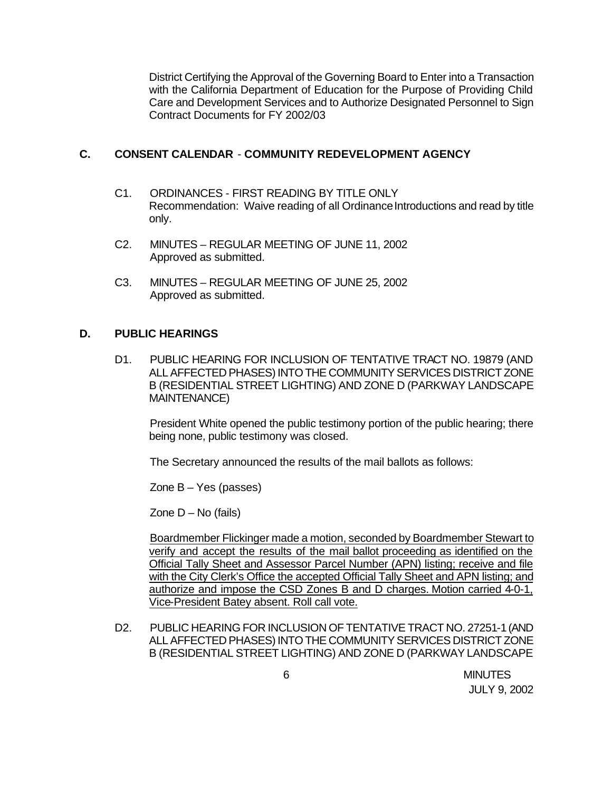District Certifying the Approval of the Governing Board to Enter into a Transaction with the California Department of Education for the Purpose of Providing Child Care and Development Services and to Authorize Designated Personnel to Sign Contract Documents for FY 2002/03

## **C. CONSENT CALENDAR** - **COMMUNITY REDEVELOPMENT AGENCY**

- C1. ORDINANCES FIRST READING BY TITLE ONLY Recommendation: Waive reading of all Ordinance Introductions and read by title only.
- C2. MINUTES REGULAR MEETING OF JUNE 11, 2002 Approved as submitted.
- C3. MINUTES REGULAR MEETING OF JUNE 25, 2002 Approved as submitted.

## **D. PUBLIC HEARINGS**

D1. PUBLIC HEARING FOR INCLUSION OF TENTATIVE TRACT NO. 19879 (AND ALL AFFECTED PHASES) INTO THE COMMUNITY SERVICES DISTRICT ZONE B (RESIDENTIAL STREET LIGHTING) AND ZONE D (PARKWAY LANDSCAPE MAINTENANCE)

President White opened the public testimony portion of the public hearing; there being none, public testimony was closed.

The Secretary announced the results of the mail ballots as follows:

Zone  $B - Yes$  (passes)

Zone  $D - No$  (fails)

Boardmember Flickinger made a motion, seconded by Boardmember Stewart to verify and accept the results of the mail ballot proceeding as identified on the Official Tally Sheet and Assessor Parcel Number (APN) listing; receive and file with the City Clerk's Office the accepted Official Tally Sheet and APN listing; and authorize and impose the CSD Zones B and D charges. Motion carried 4-0-1, Vice-President Batey absent. Roll call vote.

D2. PUBLIC HEARING FOR INCLUSION OF TENTATIVE TRACT NO. 27251-1 (AND ALL AFFECTED PHASES) INTO THE COMMUNITY SERVICES DISTRICT ZONE B (RESIDENTIAL STREET LIGHTING) AND ZONE D (PARKWAY LANDSCAPE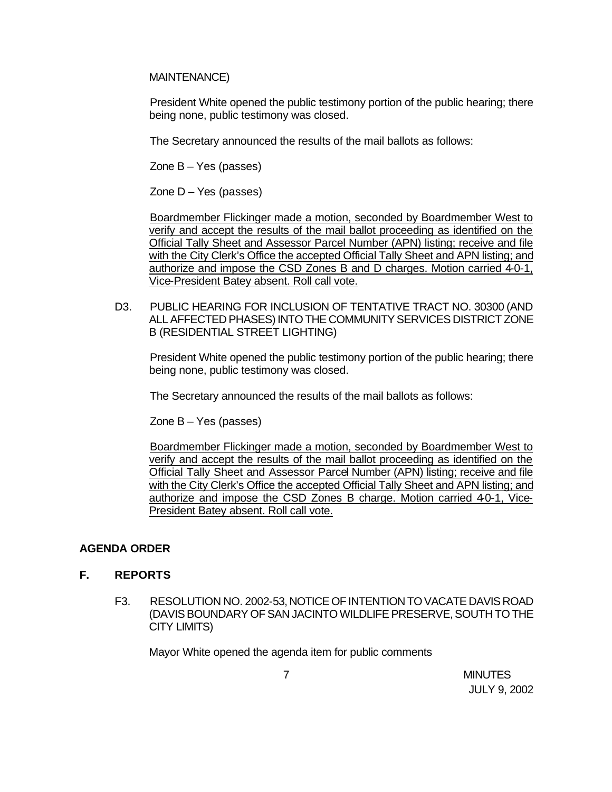MAINTENANCE)

President White opened the public testimony portion of the public hearing; there being none, public testimony was closed.

The Secretary announced the results of the mail ballots as follows:

Zone  $B - Yes$  (passes)

Zone  $D - Yes$  (passes)

Boardmember Flickinger made a motion, seconded by Boardmember West to verify and accept the results of the mail ballot proceeding as identified on the Official Tally Sheet and Assessor Parcel Number (APN) listing; receive and file with the City Clerk's Office the accepted Official Tally Sheet and APN listing; and authorize and impose the CSD Zones B and D charges. Motion carried 4-0-1, Vice-President Batey absent. Roll call vote.

D3. PUBLIC HEARING FOR INCLUSION OF TENTATIVE TRACT NO. 30300 (AND ALL AFFECTED PHASES) INTO THE COMMUNITY SERVICES DISTRICT ZONE B (RESIDENTIAL STREET LIGHTING)

President White opened the public testimony portion of the public hearing; there being none, public testimony was closed.

The Secretary announced the results of the mail ballots as follows:

Zone  $B - Yes$  (passes)

Boardmember Flickinger made a motion, seconded by Boardmember West to verify and accept the results of the mail ballot proceeding as identified on the Official Tally Sheet and Assessor Parcel Number (APN) listing; receive and file with the City Clerk's Office the accepted Official Tally Sheet and APN listing; and authorize and impose the CSD Zones B charge. Motion carried 40-1, Vice-President Batey absent. Roll call vote.

### **AGENDA ORDER**

### **F. REPORTS**

F3. RESOLUTION NO. 2002-53, NOTICE OF INTENTION TO VACATE DAVIS ROAD (DAVIS BOUNDARY OF SAN JACINTO WILDLIFE PRESERVE, SOUTH TO THE CITY LIMITS)

Mayor White opened the agenda item for public comments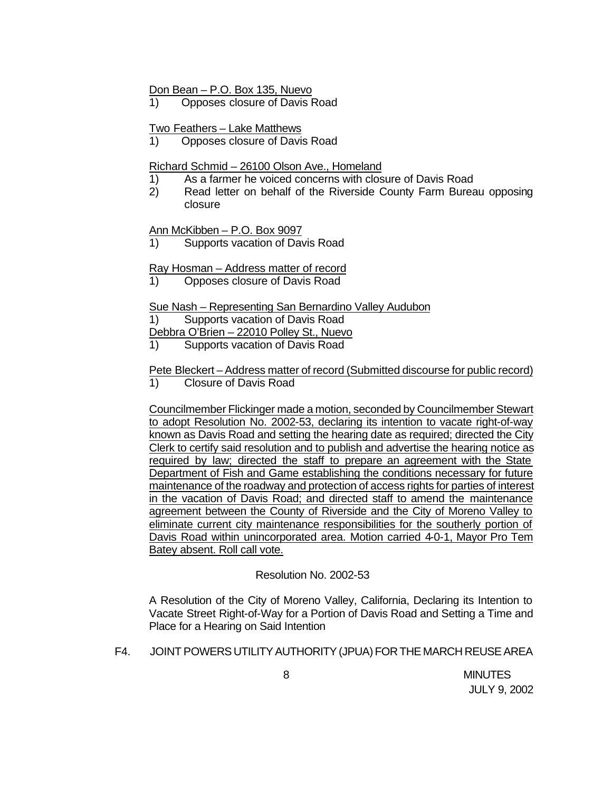#### Don Bean – P.O. Box 135, Nuevo

1) Opposes closure of Davis Road

#### Two Feathers – Lake Matthews

1) Opposes closure of Davis Road

#### Richard Schmid – 26100 Olson Ave., Homeland

- 1) As a farmer he voiced concerns with closure of Davis Road
- 2) Read letter on behalf of the Riverside County Farm Bureau opposing closure

#### Ann McKibben – P.O. Box 9097

1) Supports vacation of Davis Road

### Ray Hosman – Address matter of record

1) Opposes closure of Davis Road

#### Sue Nash – Representing San Bernardino Valley Audubon

1) Supports vacation of Davis Road

Debbra O'Brien – 22010 Polley St., Nuevo

1) Supports vacation of Davis Road

#### Pete Bleckert – Address matter of record (Submitted discourse for public record) 1) Closure of Davis Road

Councilmember Flickinger made a motion, seconded by Councilmember Stewart to adopt Resolution No. 2002-53, declaring its intention to vacate right-of-way known as Davis Road and setting the hearing date as required; directed the City Clerk to certify said resolution and to publish and advertise the hearing notice as required by law; directed the staff to prepare an agreement with the State Department of Fish and Game establishing the conditions necessary for future maintenance of the roadway and protection of access rights for parties of interest in the vacation of Davis Road; and directed staff to amend the maintenance agreement between the County of Riverside and the City of Moreno Valley to eliminate current city maintenance responsibilities for the southerly portion of Davis Road within unincorporated area. Motion carried 4-0-1, Mayor Pro Tem Batey absent. Roll call vote.

### Resolution No. 2002-53

A Resolution of the City of Moreno Valley, California, Declaring its Intention to Vacate Street Right-of-Way for a Portion of Davis Road and Setting a Time and Place for a Hearing on Said Intention

#### F4. JOINT POWERS UTILITY AUTHORITY (JPUA) FOR THE MARCH REUSE AREA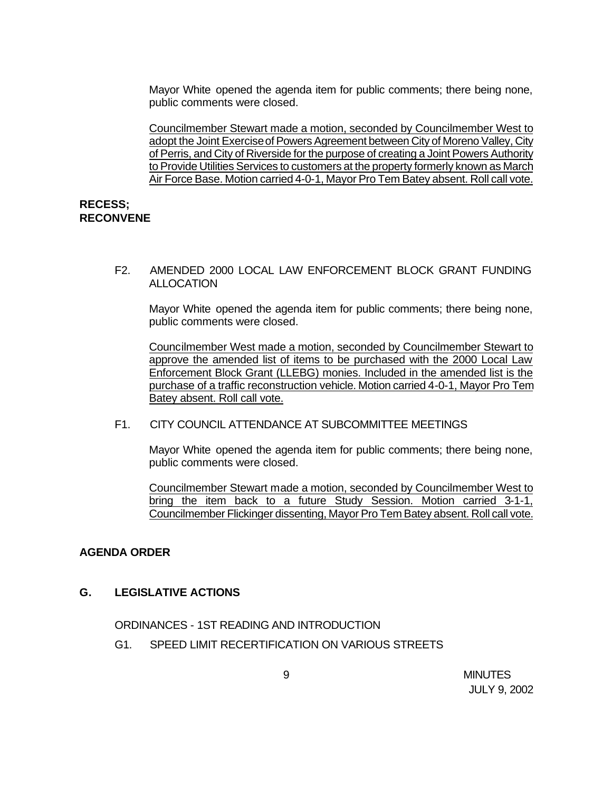Mayor White opened the agenda item for public comments; there being none, public comments were closed.

Councilmember Stewart made a motion, seconded by Councilmember West to adopt the Joint Exercise of Powers Agreement between City of Moreno Valley, City of Perris, and City of Riverside for the purpose of creating a Joint Powers Authority to Provide Utilities Services to customers at the property formerly known as March Air Force Base. Motion carried 4-0-1, Mayor Pro Tem Batey absent. Roll call vote.

#### **RECESS; RECONVENE**

F2. AMENDED 2000 LOCAL LAW ENFORCEMENT BLOCK GRANT FUNDING ALLOCATION

Mayor White opened the agenda item for public comments; there being none, public comments were closed.

Councilmember West made a motion, seconded by Councilmember Stewart to approve the amended list of items to be purchased with the 2000 Local Law Enforcement Block Grant (LLEBG) monies. Included in the amended list is the purchase of a traffic reconstruction vehicle. Motion carried 4-0-1, Mayor Pro Tem Batey absent. Roll call vote.

#### F1. CITY COUNCIL ATTENDANCE AT SUBCOMMITTEE MEETINGS

Mayor White opened the agenda item for public comments; there being none, public comments were closed.

Councilmember Stewart made a motion, seconded by Councilmember West to bring the item back to a future Study Session. Motion carried 3-1-1, Councilmember Flickinger dissenting, Mayor Pro Tem Batey absent. Roll call vote.

### **AGENDA ORDER**

### **G. LEGISLATIVE ACTIONS**

ORDINANCES - 1ST READING AND INTRODUCTION

G1. SPEED LIMIT RECERTIFICATION ON VARIOUS STREETS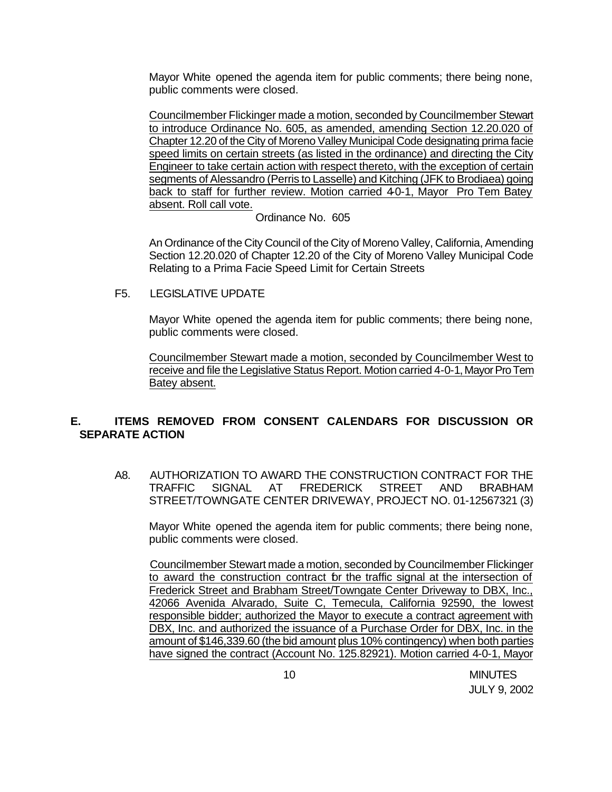Mayor White opened the agenda item for public comments; there being none, public comments were closed.

Councilmember Flickinger made a motion, seconded by Councilmember Stewart to introduce Ordinance No. 605, as amended, amending Section 12.20.020 of Chapter 12.20 of the City of Moreno Valley Municipal Code designating prima facie speed limits on certain streets (as listed in the ordinance) and directing the City Engineer to take certain action with respect thereto, with the exception of certain segments of Alessandro (Perris to Lasselle) and Kitching (JFK to Brodiaea) going back to staff for further review. Motion carried 4-0-1, Mayor Pro Tem Batey absent. Roll call vote.

Ordinance No. 605

An Ordinance of the City Council of the City of Moreno Valley, California, Amending Section 12.20.020 of Chapter 12.20 of the City of Moreno Valley Municipal Code Relating to a Prima Facie Speed Limit for Certain Streets

F5. LEGISLATIVE UPDATE

Mayor White opened the agenda item for public comments; there being none, public comments were closed.

Councilmember Stewart made a motion, seconded by Councilmember West to receive and file the Legislative Status Report. Motion carried 4-0-1, Mayor Pro Tem Batey absent.

## **E. ITEMS REMOVED FROM CONSENT CALENDARS FOR DISCUSSION OR SEPARATE ACTION**

A8. AUTHORIZATION TO AWARD THE CONSTRUCTION CONTRACT FOR THE TRAFFIC SIGNAL AT FREDERICK STREET AND BRABHAM STREET/TOWNGATE CENTER DRIVEWAY, PROJECT NO. 01-12567321 (3)

Mayor White opened the agenda item for public comments; there being none, public comments were closed.

Councilmember Stewart made a motion, seconded by Councilmember Flickinger to award the construction contract for the traffic signal at the intersection of Frederick Street and Brabham Street/Towngate Center Driveway to DBX, Inc., 42066 Avenida Alvarado, Suite C, Temecula, California 92590, the lowest responsible bidder; authorized the Mayor to execute a contract agreement with DBX, Inc. and authorized the issuance of a Purchase Order for DBX, Inc. in the amount of \$146,339.60 (the bid amount plus 10% contingency) when both parties have signed the contract (Account No. 125.82921). Motion carried 4-0-1, Mayor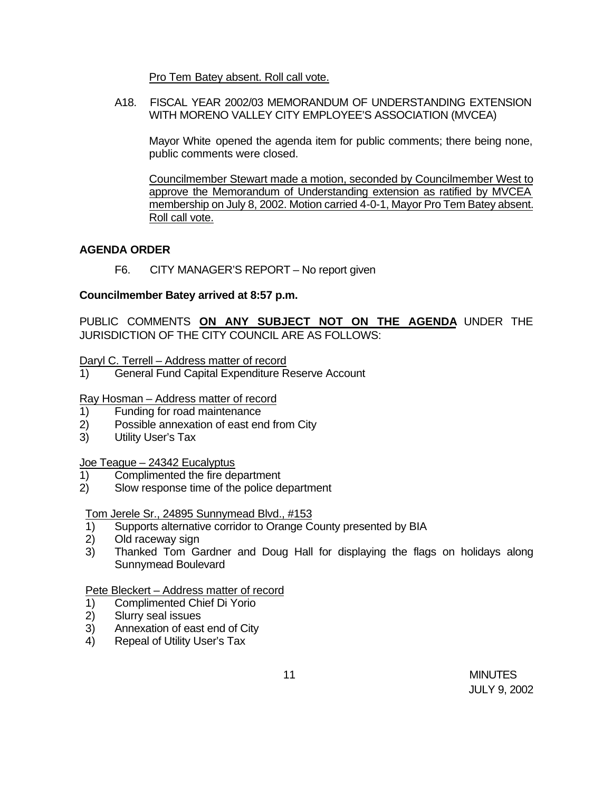Pro Tem Batey absent. Roll call vote.

A18. FISCAL YEAR 2002/03 MEMORANDUM OF UNDERSTANDING EXTENSION WITH MORENO VALLEY CITY EMPLOYEE'S ASSOCIATION (MVCEA)

Mayor White opened the agenda item for public comments; there being none, public comments were closed.

Councilmember Stewart made a motion, seconded by Councilmember West to approve the Memorandum of Understanding extension as ratified by MVCEA membership on July 8, 2002. Motion carried 4-0-1, Mayor Pro Tem Batey absent. Roll call vote.

### **AGENDA ORDER**

F6. CITY MANAGER'S REPORT – No report given

## **Councilmember Batey arrived at 8:57 p.m.**

PUBLIC COMMENTS **ON ANY SUBJECT NOT ON THE AGENDA** UNDER THE JURISDICTION OF THE CITY COUNCIL ARE AS FOLLOWS:

Daryl C. Terrell – Address matter of record

1) General Fund Capital Expenditure Reserve Account

### Ray Hosman – Address matter of record

- 1) Funding for road maintenance
- 2) Possible annexation of east end from City
- 3) Utility User's Tax

### Joe Teague – 24342 Eucalyptus

- 1) Complimented the fire department
- 2) Slow response time of the police department

Tom Jerele Sr., 24895 Sunnymead Blvd., #153

- 1) Supports alternative corridor to Orange County presented by BIA
- 2) Old raceway sign
- 3) Thanked Tom Gardner and Doug Hall for displaying the flags on holidays along Sunnymead Boulevard

Pete Bleckert – Address matter of record

- 1) Complimented Chief Di Yorio
- 2) Slurry seal issues
- 3) Annexation of east end of City
- 4) Repeal of Utility User's Tax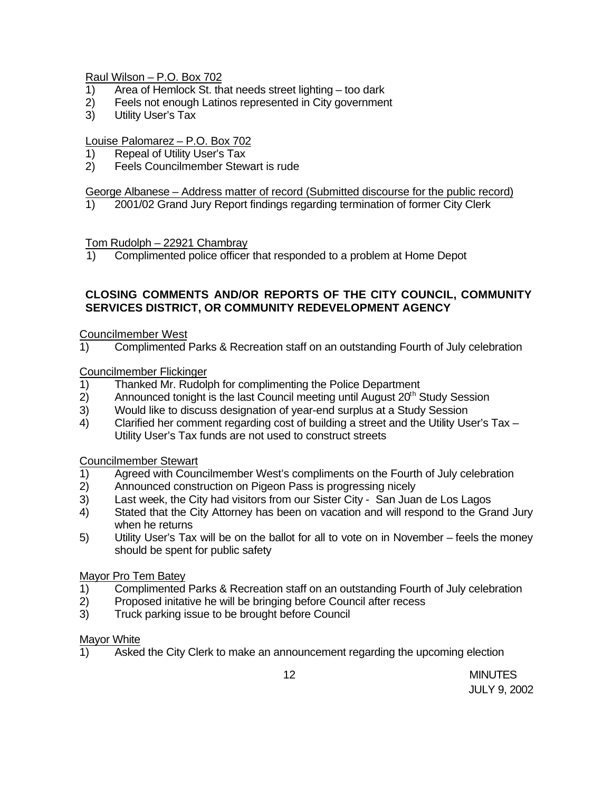## Raul Wilson – P.O. Box 702

- 1) Area of Hemlock St. that needs street lighting too dark
- 2) Feels not enough Latinos represented in City government
- 3) Utility User's Tax

## Louise Palomarez – P.O. Box 702

- 1) Repeal of Utility User's Tax
- 2) Feels Councilmember Stewart is rude

## George Albanese – Address matter of record (Submitted discourse for the public record)

1) 2001/02 Grand Jury Report findings regarding termination of former City Clerk

## Tom Rudolph – 22921 Chambray

1) Complimented police officer that responded to a problem at Home Depot

# **CLOSING COMMENTS AND/OR REPORTS OF THE CITY COUNCIL, COMMUNITY SERVICES DISTRICT, OR COMMUNITY REDEVELOPMENT AGENCY**

## Councilmember West

1) Complimented Parks & Recreation staff on an outstanding Fourth of July celebration

## Councilmember Flickinger

- 1) Thanked Mr. Rudolph for complimenting the Police Department
- 2) Announced tonight is the last Council meeting until August  $20<sup>th</sup>$  Study Session
- 3) Would like to discuss designation of year-end surplus at a Study Session
- 4) Clarified her comment regarding cost of building a street and the Utility User's Tax Utility User's Tax funds are not used to construct streets

### Councilmember Stewart

- 1) Agreed with Councilmember West's compliments on the Fourth of July celebration
- 2) Announced construction on Pigeon Pass is progressing nicely
- 3) Last week, the City had visitors from our Sister City San Juan de Los Lagos
- 4) Stated that the City Attorney has been on vacation and will respond to the Grand Jury when he returns
- 5) Utility User's Tax will be on the ballot for all to vote on in November feels the money should be spent for public safety

## Mayor Pro Tem Batey

- 1) Complimented Parks & Recreation staff on an outstanding Fourth of July celebration
- 2) Proposed initative he will be bringing before Council after recess
- 3) Truck parking issue to be brought before Council

### Mayor White

1) Asked the City Clerk to make an announcement regarding the upcoming election